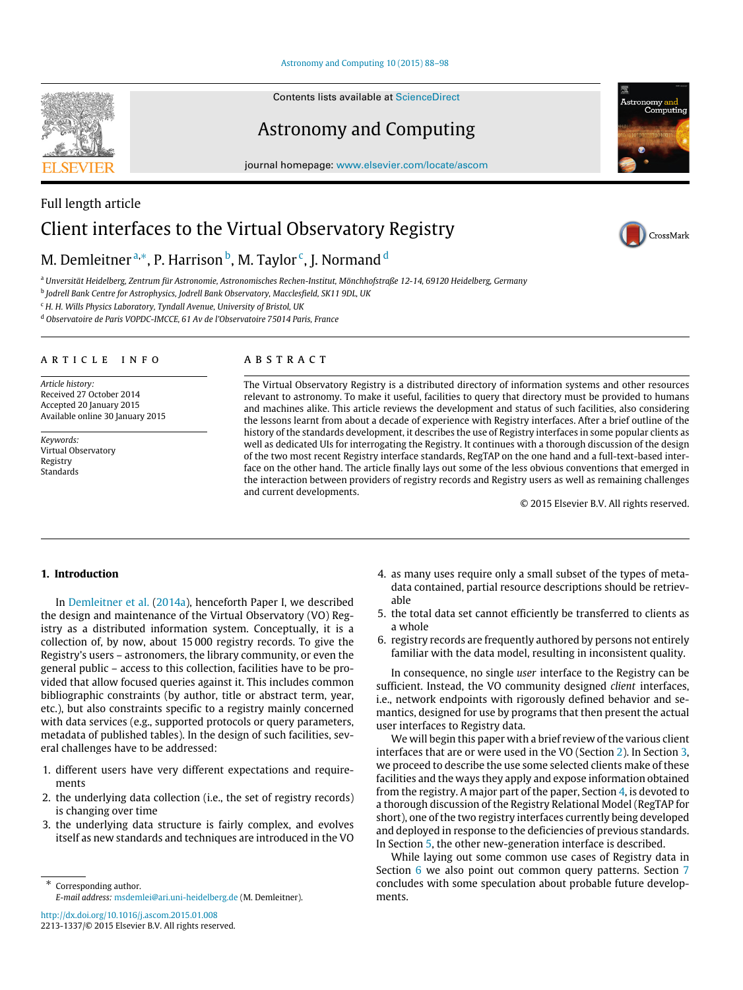## [Astronomy and Computing 10 \(2015\) 88–98](http://dx.doi.org/10.1016/j.ascom.2015.01.008)

Contents lists available at [ScienceDirect](http://www.elsevier.com/locate/ascom)

Astronomy and Computing

journal homepage: [www.elsevier.com/locate/ascom](http://www.elsevier.com/locate/ascom)



# M. Demleitner <sup>[a,](#page-0-0)</sup>\*, P. Harrison <sup>[b](#page-0-2)</sup>, M. Taylor <sup>[c](#page-0-3)</sup>, J. Norman[d](#page-0-4) <sup>d</sup>

<span id="page-0-0"></span><sup>a</sup> *Unversität Heidelberg, Zentrum für Astronomie, Astronomisches Rechen-Institut, Mönchhofstraße 12-14, 69120 Heidelberg, Germany*

<span id="page-0-2"></span>b *Jodrell Bank Centre for Astrophysics, Jodrell Bank Observatory, Macclesfield, SK11 9DL, UK*

<span id="page-0-3"></span><sup>c</sup> *H. H. Wills Physics Laboratory, Tyndall Avenue, University of Bristol, UK*

<span id="page-0-4"></span><sup>d</sup> *Observatoire de Paris VOPDC-IMCCE, 61 Av de l'Observatoire 75014 Paris, France*

## a r t i c l e i n f o

*Article history:* Received 27 October 2014 Accepted 20 January 2015 Available online 30 January 2015

*Keywords:* Virtual Observatory Registry **Standards** 

## A B S T R A C T

The Virtual Observatory Registry is a distributed directory of information systems and other resources relevant to astronomy. To make it useful, facilities to query that directory must be provided to humans and machines alike. This article reviews the development and status of such facilities, also considering the lessons learnt from about a decade of experience with Registry interfaces. After a brief outline of the history of the standards development, it describes the use of Registry interfaces in some popular clients as well as dedicated UIs for interrogating the Registry. It continues with a thorough discussion of the design of the two most recent Registry interface standards, RegTAP on the one hand and a full-text-based interface on the other hand. The article finally lays out some of the less obvious conventions that emerged in the interaction between providers of registry records and Registry users as well as remaining challenges and current developments.

© 2015 Elsevier B.V. All rights reserved.

# **1. Introduction**

In [Demleitner](#page-9-0) [et al.](#page-9-0) [\(2014a\)](#page-9-0), henceforth Paper I, we described the design and maintenance of the Virtual Observatory (VO) Registry as a distributed information system. Conceptually, it is a collection of, by now, about 15 000 registry records. To give the Registry's users – astronomers, the library community, or even the general public – access to this collection, facilities have to be provided that allow focused queries against it. This includes common bibliographic constraints (by author, title or abstract term, year, etc.), but also constraints specific to a registry mainly concerned with data services (e.g., supported protocols or query parameters, metadata of published tables). In the design of such facilities, several challenges have to be addressed:

- 1. different users have very different expectations and requirements
- 2. the underlying data collection (i.e., the set of registry records) is changing over time
- 3. the underlying data structure is fairly complex, and evolves itself as new standards and techniques are introduced in the VO

<span id="page-0-1"></span>Corresponding author. *E-mail address:* [msdemlei@ari.uni-heidelberg.de](mailto:msdemlei@ari.uni-heidelberg.de) (M. Demleitner).

<http://dx.doi.org/10.1016/j.ascom.2015.01.008> 2213-1337/© 2015 Elsevier B.V. All rights reserved.

- 4. as many uses require only a small subset of the types of metadata contained, partial resource descriptions should be retrievable
- 5. the total data set cannot efficiently be transferred to clients as a whole
- 6. registry records are frequently authored by persons not entirely familiar with the data model, resulting in inconsistent quality.

In consequence, no single *user* interface to the Registry can be sufficient. Instead, the VO community designed *client* interfaces, i.e., network endpoints with rigorously defined behavior and semantics, designed for use by programs that then present the actual user interfaces to Registry data.

We will begin this paper with a brief review of the various client interfaces that are or were used in the VO (Section [2\)](#page-1-0). In Section [3,](#page-2-0) we proceed to describe the use some selected clients make of these facilities and the ways they apply and expose information obtained from the registry. A major part of the paper, Section [4,](#page-3-0) is devoted to a thorough discussion of the Registry Relational Model (RegTAP for short), one of the two registry interfaces currently being developed and deployed in response to the deficiencies of previous standards. In Section [5,](#page-6-0) the other new-generation interface is described.

While laying out some common use cases of Registry data in Section [6](#page-7-0) we also point out common query patterns. Section [7](#page-8-0) concludes with some speculation about probable future developments.





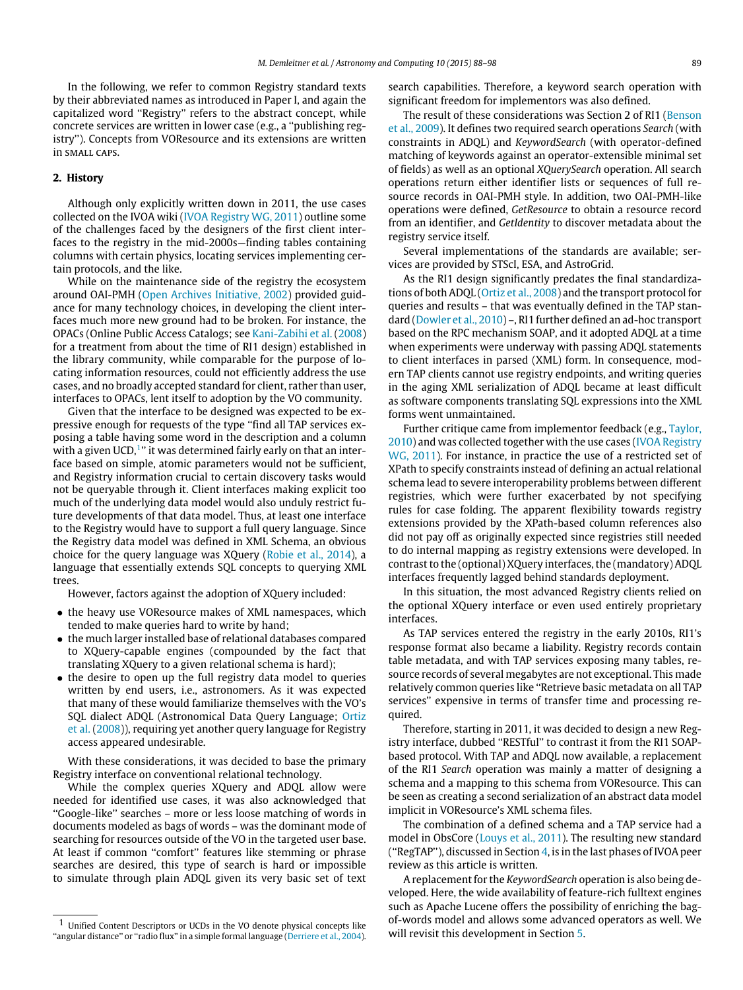In the following, we refer to common Registry standard texts by their abbreviated names as introduced in Paper I, and again the capitalized word ''Registry'' refers to the abstract concept, while concrete services are written in lower case (e.g., a ''publishing registry''). Concepts from VOResource and its extensions are written in small caps.

## <span id="page-1-0"></span>**2. History**

Although only explicitly written down in 2011, the use cases collected on the IVOA wiki [\(IVOA](#page-9-1) [Registry](#page-9-1) [WG,](#page-9-1) [2011\)](#page-9-1) outline some of the challenges faced by the designers of the first client interfaces to the registry in the mid-2000s—finding tables containing columns with certain physics, locating services implementing certain protocols, and the like.

While on the maintenance side of the registry the ecosystem around OAI-PMH [\(Open](#page-9-2) [Archives](#page-9-2) [Initiative,](#page-9-2) [2002\)](#page-9-2) provided guidance for many technology choices, in developing the client interfaces much more new ground had to be broken. For instance, the OPACs (Online Public Access Catalogs; see [Kani-Zabihi](#page-9-3) [et al.](#page-9-3) [\(2008\)](#page-9-3) for a treatment from about the time of RI1 design) established in the library community, while comparable for the purpose of locating information resources, could not efficiently address the use cases, and no broadly accepted standard for client, rather than user, interfaces to OPACs, lent itself to adoption by the VO community.

Given that the interface to be designed was expected to be expressive enough for requests of the type ''find all TAP services exposing a table having some word in the description and a column with a given UCD, $^1$  $^1$ " it was determined fairly early on that an interface based on simple, atomic parameters would not be sufficient, and Registry information crucial to certain discovery tasks would not be queryable through it. Client interfaces making explicit too much of the underlying data model would also unduly restrict future developments of that data model. Thus, at least one interface to the Registry would have to support a full query language. Since the Registry data model was defined in XML Schema, an obvious choice for the query language was XQuery [\(Robie](#page-10-0) [et al.,](#page-10-0) [2014\)](#page-10-0), a language that essentially extends SQL concepts to querying XML trees.

However, factors against the adoption of XQuery included:

- the heavy use VOResource makes of XML namespaces, which tended to make queries hard to write by hand;
- the much larger installed base of relational databases compared to XQuery-capable engines (compounded by the fact that translating XQuery to a given relational schema is hard);
- the desire to open up the full registry data model to queries written by end users, i.e., astronomers. As it was expected that many of these would familiarize themselves with the VO's SQL dialect ADQL (Astronomical Data Query Language; [Ortiz](#page-10-1) [et al.](#page-10-1) [\(2008\)](#page-10-1)), requiring yet another query language for Registry access appeared undesirable.

With these considerations, it was decided to base the primary Registry interface on conventional relational technology.

While the complex queries XQuery and ADQL allow were needed for identified use cases, it was also acknowledged that ''Google-like'' searches – more or less loose matching of words in documents modeled as bags of words – was the dominant mode of searching for resources outside of the VO in the targeted user base. At least if common "comfort" features like stemming or phrase searches are desired, this type of search is hard or impossible to simulate through plain ADQL given its very basic set of text

search capabilities. Therefore, a keyword search operation with significant freedom for implementors was also defined.

The result of these considerations was Section 2 of RI1 [\(Benson](#page-9-5) [et al.,](#page-9-5) [2009\)](#page-9-5). It defines two required search operations *Search* (with constraints in ADQL) and *KeywordSearch* (with operator-defined matching of keywords against an operator-extensible minimal set of fields) as well as an optional *XQuerySearch* operation. All search operations return either identifier lists or sequences of full resource records in OAI-PMH style. In addition, two OAI-PMH-like operations were defined, *GetResource* to obtain a resource record from an identifier, and *GetIdentity* to discover metadata about the registry service itself.

Several implementations of the standards are available; services are provided by STScI, ESA, and AstroGrid.

As the RI1 design significantly predates the final standardizations of both ADQL [\(Ortiz](#page-10-1) [et al.,](#page-10-1) [2008\)](#page-10-1) and the transport protocol for queries and results – that was eventually defined in the TAP standard [\(Dowler](#page-9-6) [et al.,](#page-9-6) [2010\)](#page-9-6) –, RI1 further defined an ad-hoc transport based on the RPC mechanism SOAP, and it adopted ADQL at a time when experiments were underway with passing ADQL statements to client interfaces in parsed (XML) form. In consequence, modern TAP clients cannot use registry endpoints, and writing queries in the aging XML serialization of ADQL became at least difficult as software components translating SQL expressions into the XML forms went unmaintained.

Further critique came from implementor feedback (e.g., [Taylor,](#page-10-2) [2010\)](#page-10-2) and was collected together with the use cases [\(IVOA](#page-9-1) [Registry](#page-9-1) [WG,](#page-9-1) [2011\)](#page-9-1). For instance, in practice the use of a restricted set of XPath to specify constraints instead of defining an actual relational schema lead to severe interoperability problems between different registries, which were further exacerbated by not specifying rules for case folding. The apparent flexibility towards registry extensions provided by the XPath-based column references also did not pay off as originally expected since registries still needed to do internal mapping as registry extensions were developed. In contrast to the (optional) XQuery interfaces, the (mandatory) ADQL interfaces frequently lagged behind standards deployment.

In this situation, the most advanced Registry clients relied on the optional XQuery interface or even used entirely proprietary interfaces.

As TAP services entered the registry in the early 2010s, RI1's response format also became a liability. Registry records contain table metadata, and with TAP services exposing many tables, resource records of several megabytes are not exceptional. This made relatively common queries like ''Retrieve basic metadata on all TAP services'' expensive in terms of transfer time and processing required.

Therefore, starting in 2011, it was decided to design a new Registry interface, dubbed ''RESTful'' to contrast it from the RI1 SOAPbased protocol. With TAP and ADQL now available, a replacement of the RI1 *Search* operation was mainly a matter of designing a schema and a mapping to this schema from VOResource. This can be seen as creating a second serialization of an abstract data model implicit in VOResource's XML schema files.

The combination of a defined schema and a TAP service had a model in ObsCore [\(Louys](#page-9-7) [et al.,](#page-9-7) [2011\)](#page-9-7). The resulting new standard (''RegTAP''), discussed in Section [4,](#page-3-0) is in the last phases of IVOA peer review as this article is written.

A replacement for the *KeywordSearch* operation is also being developed. Here, the wide availability of feature-rich fulltext engines such as Apache Lucene offers the possibility of enriching the bagof-words model and allows some advanced operators as well. We will revisit this development in Section [5.](#page-6-0)

<span id="page-1-1"></span><sup>1</sup> Unified Content Descriptors or UCDs in the VO denote physical concepts like "angular distance" or "radio flux" in a simple formal language [\(Derriere](#page-9-4) [et al.,](#page-9-4) [2004\)](#page-9-4).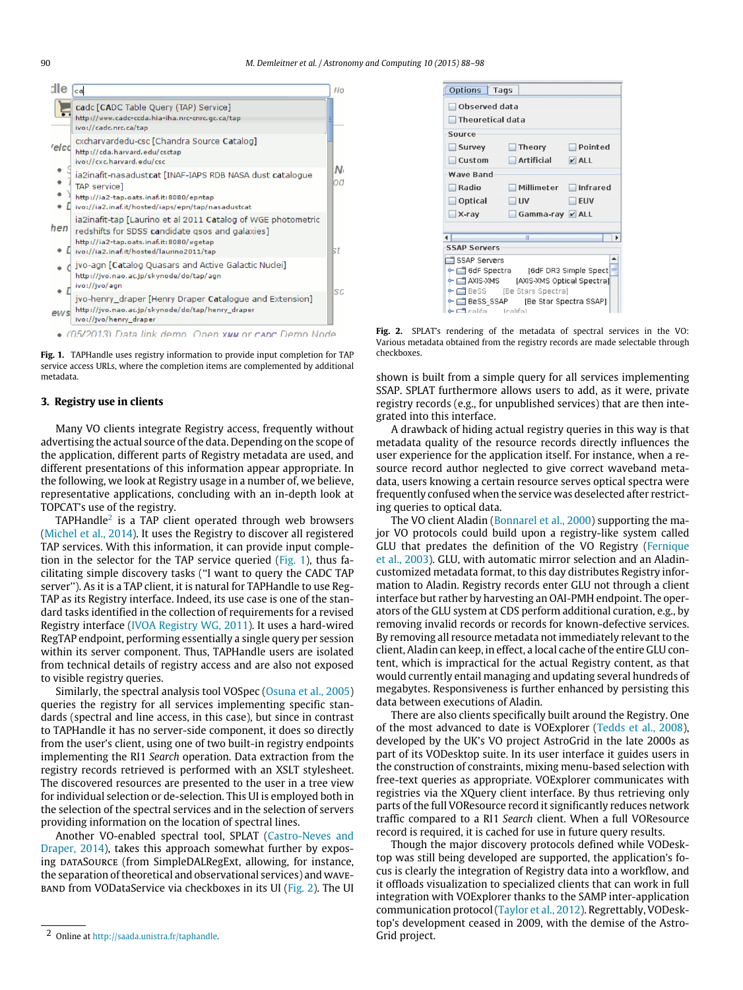<span id="page-2-2"></span>

**Fig. 1.** TAPHandle uses registry information to provide input completion for TAP service access URLs, where the completion items are complemented by additional metadata.

## <span id="page-2-0"></span>**3. Registry use in clients**

Many VO clients integrate Registry access, frequently without advertising the actual source of the data. Depending on the scope of the application, different parts of Registry metadata are used, and different presentations of this information appear appropriate. In the following, we look at Registry usage in a number of, we believe, representative applications, concluding with an in-depth look at TOPCAT's use of the registry.

TAPHandle $^2$  $^2$  is a TAP client operated through web browsers [\(Michel](#page-9-8) [et al.,](#page-9-8) [2014\)](#page-9-8). It uses the Registry to discover all registered TAP services. With this information, it can provide input completion in the selector for the TAP service queried [\(Fig. 1\)](#page-2-2), thus facilitating simple discovery tasks (''I want to query the CADC TAP server''). As it is a TAP client, it is natural for TAPHandle to use Reg-TAP as its Registry interface. Indeed, its use case is one of the standard tasks identified in the collection of requirements for a revised Registry interface [\(IVOA](#page-9-1) [Registry](#page-9-1) [WG,](#page-9-1) [2011\)](#page-9-1). It uses a hard-wired RegTAP endpoint, performing essentially a single query per session within its server component. Thus, TAPHandle users are isolated from technical details of registry access and are also not exposed to visible registry queries.

Similarly, the spectral analysis tool VOSpec [\(Osuna](#page-10-3) [et al.,](#page-10-3) [2005\)](#page-10-3) queries the registry for all services implementing specific standards (spectral and line access, in this case), but since in contrast to TAPHandle it has no server-side component, it does so directly from the user's client, using one of two built-in registry endpoints implementing the RI1 *Search* operation. Data extraction from the registry records retrieved is performed with an XSLT stylesheet. The discovered resources are presented to the user in a tree view for individual selection or de-selection. This UI is employed both in the selection of the spectral services and in the selection of servers providing information on the location of spectral lines.

Another VO-enabled spectral tool, SPLAT [\(Castro-Neves](#page-9-9) [and](#page-9-9) [Draper,](#page-9-9) [2014\)](#page-9-9), takes this approach somewhat further by exposing DATASOURCE (from SimpleDALRegExt, allowing, for instance, the separation of theoretical and observational services) and waveband from VODataService via checkboxes in its UI [\(Fig. 2\)](#page-2-3). The UI

<span id="page-2-3"></span>

**Fig. 2.** SPLAT's rendering of the metadata of spectral services in the VO: Various metadata obtained from the registry records are made selectable through checkboxes.

shown is built from a simple query for all services implementing SSAP. SPLAT furthermore allows users to add, as it were, private registry records (e.g., for unpublished services) that are then integrated into this interface.

A drawback of hiding actual registry queries in this way is that metadata quality of the resource records directly influences the user experience for the application itself. For instance, when a resource record author neglected to give correct waveband metadata, users knowing a certain resource serves optical spectra were frequently confused when the service was deselected after restricting queries to optical data.

The VO client Aladin [\(Bonnarel](#page-9-10) [et al.,](#page-9-10) [2000\)](#page-9-10) supporting the major VO protocols could build upon a registry-like system called GLU that predates the definition of the VO Registry [\(Fernique](#page-9-11) [et al.,](#page-9-11) [2003\)](#page-9-11). GLU, with automatic mirror selection and an Aladincustomized metadata format, to this day distributes Registry information to Aladin. Registry records enter GLU not through a client interface but rather by harvesting an OAI-PMH endpoint. The operators of the GLU system at CDS perform additional curation, e.g., by removing invalid records or records for known-defective services. By removing all resource metadata not immediately relevant to the client, Aladin can keep, in effect, a local cache of the entire GLU content, which is impractical for the actual Registry content, as that would currently entail managing and updating several hundreds of megabytes. Responsiveness is further enhanced by persisting this data between executions of Aladin.

There are also clients specifically built around the Registry. One of the most advanced to date is VOExplorer [\(Tedds](#page-10-4) [et al.,](#page-10-4) [2008\)](#page-10-4), developed by the UK's VO project AstroGrid in the late 2000s as part of its VODesktop suite. In its user interface it guides users in the construction of constraints, mixing menu-based selection with free-text queries as appropriate. VOExplorer communicates with registries via the XQuery client interface. By thus retrieving only parts of the full VOResource record it significantly reduces network traffic compared to a RI1 *Search* client. When a full VOResource record is required, it is cached for use in future query results.

Though the major discovery protocols defined while VODesktop was still being developed are supported, the application's focus is clearly the integration of Registry data into a workflow, and it offloads visualization to specialized clients that can work in full integration with VOExplorer thanks to the SAMP inter-application communication protocol [\(Taylor](#page-10-5) [et al.,](#page-10-5) [2012\)](#page-10-5). Regrettably, VODesktop's development ceased in 2009, with the demise of the Astro-Grid project.

<span id="page-2-1"></span><sup>2</sup> Online at [http://saada.unistra.fr/taphandle.](http://saada.unistra.fr/taphandle)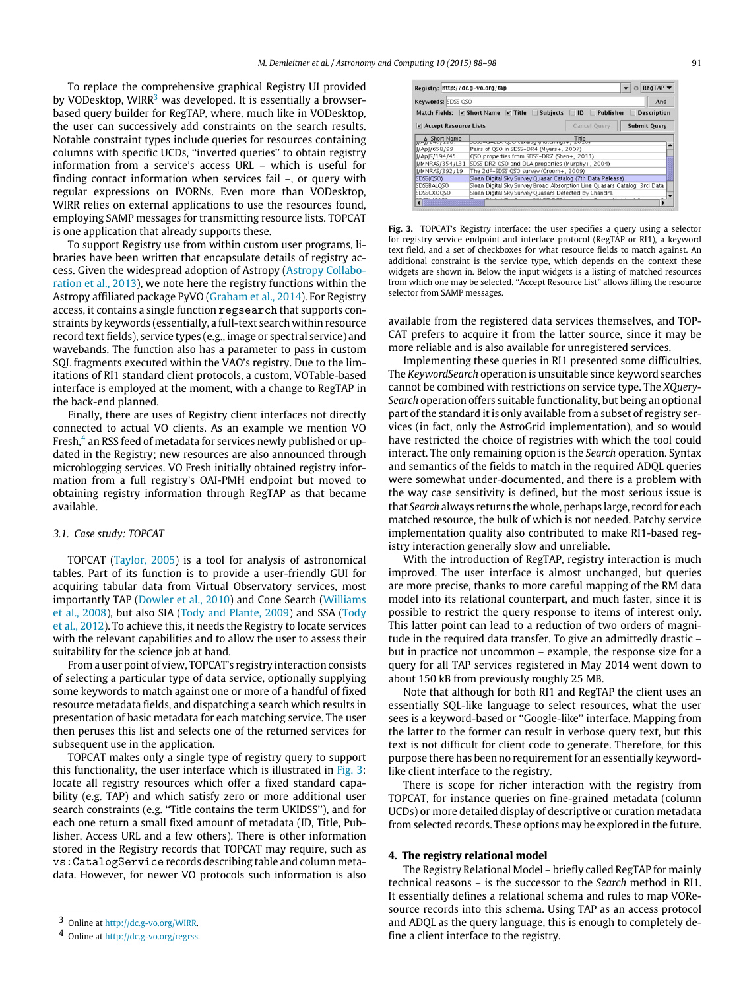To replace the comprehensive graphical Registry UI provided by VODesktop, WIRR $3$  was developed. It is essentially a browserbased query builder for RegTAP, where, much like in VODesktop, the user can successively add constraints on the search results. Notable constraint types include queries for resources containing columns with specific UCDs, ''inverted queries'' to obtain registry information from a service's access URL – which is useful for finding contact information when services fail –, or query with regular expressions on IVORNs. Even more than VODesktop, WIRR relies on external applications to use the resources found, employing SAMP messages for transmitting resource lists. TOPCAT is one application that already supports these.

To support Registry use from within custom user programs, libraries have been written that encapsulate details of registry ac[c](#page-9-12)ess. Given the widespread adoption of Astropy [\(Astropy](#page-9-12) [Collabo](#page-9-12)[ration](#page-9-12) [et al.,](#page-9-12) [2013\)](#page-9-12), we note here the registry functions within the Astropy affiliated package PyVO [\(Graham](#page-9-13) [et al.,](#page-9-13) [2014\)](#page-9-13). For Registry access, it contains a single function regsearch that supports constraints by keywords (essentially, a full-text search within resource record text fields), service types (e.g., image or spectral service) and wavebands. The function also has a parameter to pass in custom SQL fragments executed within the VAO's registry. Due to the limitations of RI1 standard client protocols, a custom, VOTable-based interface is employed at the moment, with a change to RegTAP in the back-end planned.

Finally, there are uses of Registry client interfaces not directly connected to actual VO clients. As an example we mention VO Fresh,<sup>[4](#page-3-2)</sup> an RSS feed of metadata for services newly published or updated in the Registry; new resources are also announced through microblogging services. VO Fresh initially obtained registry information from a full registry's OAI-PMH endpoint but moved to obtaining registry information through RegTAP as that became available.

## *3.1. Case study: TOPCAT*

TOPCAT [\(Taylor,](#page-10-6) [2005\)](#page-10-6) is a tool for analysis of astronomical tables. Part of its function is to provide a user-friendly GUI for acquiring tabular data from Virtual Observatory services, most importantly TAP [\(Dowler](#page-9-6) [et al.,](#page-9-6) [2010\)](#page-9-6) and Cone Search [\(Williams](#page-10-7) [et al.,](#page-10-7) [2008\)](#page-10-7), but also SIA [\(Tody](#page-10-8) [and](#page-10-8) [Plante,](#page-10-8) [2009\)](#page-10-8) and SSA [\(Tody](#page-10-9) [et al.,](#page-10-9) [2012\)](#page-10-9). To achieve this, it needs the Registry to locate services with the relevant capabilities and to allow the user to assess their suitability for the science job at hand.

From a user point of view, TOPCAT's registry interaction consists of selecting a particular type of data service, optionally supplying some keywords to match against one or more of a handful of fixed resource metadata fields, and dispatching a search which results in presentation of basic metadata for each matching service. The user then peruses this list and selects one of the returned services for subsequent use in the application.

TOPCAT makes only a single type of registry query to support this functionality, the user interface which is illustrated in [Fig. 3:](#page-3-3) locate all registry resources which offer a fixed standard capability (e.g. TAP) and which satisfy zero or more additional user search constraints (e.g. "Title contains the term UKIDSS"), and for each one return a small fixed amount of metadata (ID, Title, Publisher, Access URL and a few others). There is other information stored in the Registry records that TOPCAT may require, such as vs:CatalogService records describing table and column metadata. However, for newer VO protocols such information is also

<span id="page-3-3"></span>

| Keywords: SDSS 0SO            |                                                                            |              | And                 |
|-------------------------------|----------------------------------------------------------------------------|--------------|---------------------|
|                               | Match Fields: V Short Name V Title Subjects ID Publisher Description       |              |                     |
| Accept Resource Lists         |                                                                            | Cancel Query | <b>Submit Query</b> |
| △ Short Name<br>J/MJ/LTVILZUI | <del>מבט , דכנסל (atalog (mutchings + , 2010)</del>                        | Title        |                     |
| I/ApI/658/99                  | Pairs of QSO in SDSS-DR4 (Myers+, 2007)                                    |              |                     |
| I/ApIS/194/45                 | QSO properties from SDSS-DR7 (Shen+, 2011)                                 |              |                     |
| J/MNRAS/354/L31               | SDSS DR2 OSO and DLA properties (Murphy+, 2004)                            |              |                     |
| J/MNRAS/392/19                | The 2dF-SDSS QSO survey (Croom+, 2009)                                     |              |                     |
| SDSS(OSO)                     | Sloan Digital Sky Survey Ouasar Catalog (7th Data Release)                 |              |                     |
| <b>SDSSBALOSO</b>             | Sloan Digital Sky Survey Broad Absorption Line Quasars Catalog: 3rd Data I |              |                     |
| <b>SDSSCXOQSO</b>             | Sloan Digital Sky Survey Quasars Detected by Chandra                       |              |                     |

**Fig. 3.** TOPCAT's Registry interface: the user specifies a query using a selector for registry service endpoint and interface protocol (RegTAP or RI1), a keyword text field, and a set of checkboxes for what resource fields to match against. An additional constraint is the service type, which depends on the context these widgets are shown in. Below the input widgets is a listing of matched resources from which one may be selected. ''Accept Resource List'' allows filling the resource selector from SAMP messages.

available from the registered data services themselves, and TOP-CAT prefers to acquire it from the latter source, since it may be more reliable and is also available for unregistered services.

Implementing these queries in RI1 presented some difficulties. The *KeywordSearch* operation is unsuitable since keyword searches cannot be combined with restrictions on service type. The *XQuery-Search* operation offers suitable functionality, but being an optional part of the standard it is only available from a subset of registry services (in fact, only the AstroGrid implementation), and so would have restricted the choice of registries with which the tool could interact. The only remaining option is the *Search* operation. Syntax and semantics of the fields to match in the required ADQL queries were somewhat under-documented, and there is a problem with the way case sensitivity is defined, but the most serious issue is that *Search* always returns the whole, perhaps large, record for each matched resource, the bulk of which is not needed. Patchy service implementation quality also contributed to make RI1-based registry interaction generally slow and unreliable.

With the introduction of RegTAP, registry interaction is much improved. The user interface is almost unchanged, but queries are more precise, thanks to more careful mapping of the RM data model into its relational counterpart, and much faster, since it is possible to restrict the query response to items of interest only. This latter point can lead to a reduction of two orders of magnitude in the required data transfer. To give an admittedly drastic – but in practice not uncommon – example, the response size for a query for all TAP services registered in May 2014 went down to about 150 kB from previously roughly 25 MB.

Note that although for both RI1 and RegTAP the client uses an essentially SQL-like language to select resources, what the user sees is a keyword-based or ''Google-like'' interface. Mapping from the latter to the former can result in verbose query text, but this text is not difficult for client code to generate. Therefore, for this purpose there has been no requirement for an essentially keywordlike client interface to the registry.

There is scope for richer interaction with the registry from TOPCAT, for instance queries on fine-grained metadata (column UCDs) or more detailed display of descriptive or curation metadata from selected records. These options may be explored in the future.

#### <span id="page-3-0"></span>**4. The registry relational model**

The Registry Relational Model – briefly called RegTAP for mainly technical reasons – is the successor to the *Search* method in RI1. It essentially defines a relational schema and rules to map VOResource records into this schema. Using TAP as an access protocol and ADQL as the query language, this is enough to completely define a client interface to the registry.

<span id="page-3-1"></span><sup>3</sup> Online at [http://dc.g-vo.org/WIRR.](http://dc.g-vo.org/WIRR)

<span id="page-3-2"></span><sup>4</sup> Online at [http://dc.g-vo.org/regrss.](http://dc.g-vo.org/regrss)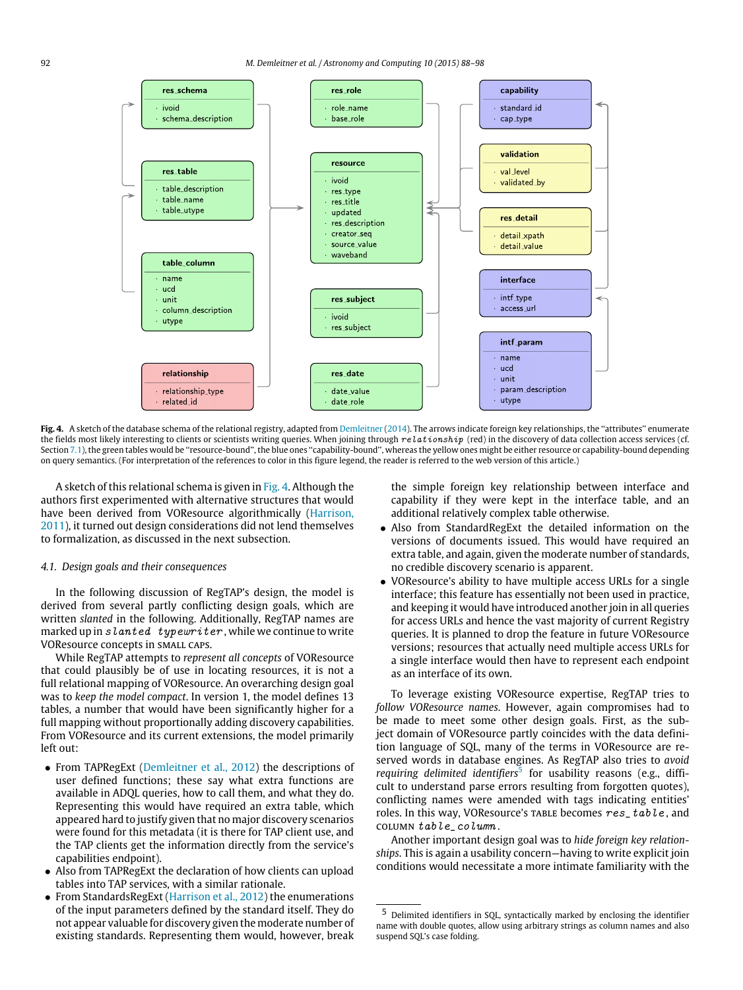<span id="page-4-0"></span>

Fig. 4. A sketch of the database schema of the relational registry, adapted from [Demleitner](#page-9-14) [\(2014\)](#page-9-14). The arrows indicate foreign key relationships, the "attributes" enumerate the fields most likely interesting to clients or scientists writing queries. When joining through *relationship* (red) in the discovery of data collection access services (cf. Section [7.1\)](#page-8-1), the green tables would be "resource-bound", the blue ones "capability-bound", whereas the yellow ones might be either resource or capability-bound depending on query semantics. (For interpretation of the references to color in this figure legend, the reader is referred to the web version of this article.)

A sketch of this relational schema is given in [Fig. 4.](#page-4-0) Although the authors first experimented with alternative structures that would have been derived from VOResource algorithmically [\(Harrison,](#page-9-15) [2011\)](#page-9-15), it turned out design considerations did not lend themselves to formalization, as discussed in the next subsection.

#### *4.1. Design goals and their consequences*

In the following discussion of RegTAP's design, the model is derived from several partly conflicting design goals, which are written *slanted* in the following. Additionally, RegTAP names are marked up in *slanted typewriter* , while we continue to write VOResource concepts in small caps.

While RegTAP attempts to *represent all concepts* of VOResource that could plausibly be of use in locating resources, it is not a full relational mapping of VOResource. An overarching design goal was to *keep the model compact*. In version 1, the model defines 13 tables, a number that would have been significantly higher for a full mapping without proportionally adding discovery capabilities. From VOResource and its current extensions, the model primarily left out:

- From TAPRegExt [\(Demleitner](#page-9-16) [et al.,](#page-9-16) [2012\)](#page-9-16) the descriptions of user defined functions; these say what extra functions are available in ADQL queries, how to call them, and what they do. Representing this would have required an extra table, which appeared hard to justify given that no major discovery scenarios were found for this metadata (it is there for TAP client use, and the TAP clients get the information directly from the service's capabilities endpoint).
- Also from TAPRegExt the declaration of how clients can upload tables into TAP services, with a similar rationale.
- From StandardsRegExt [\(Harrison](#page-9-17) [et al.,](#page-9-17) [2012\)](#page-9-17) the enumerations of the input parameters defined by the standard itself. They do not appear valuable for discovery given the moderate number of existing standards. Representing them would, however, break

the simple foreign key relationship between interface and capability if they were kept in the interface table, and an additional relatively complex table otherwise.

- Also from StandardRegExt the detailed information on the versions of documents issued. This would have required an extra table, and again, given the moderate number of standards, no credible discovery scenario is apparent.
- VOResource's ability to have multiple access URLs for a single interface; this feature has essentially not been used in practice, and keeping it would have introduced another join in all queries for access URLs and hence the vast majority of current Registry queries. It is planned to drop the feature in future VOResource versions; resources that actually need multiple access URLs for a single interface would then have to represent each endpoint as an interface of its own.

To leverage existing VOResource expertise, RegTAP tries to *follow VOResource names*. However, again compromises had to be made to meet some other design goals. First, as the subject domain of VOResource partly coincides with the data definition language of SQL, many of the terms in VOResource are reserved words in database engines. As RegTAP also tries to *avoid* requiring delimited identifiers<sup>[5](#page-4-1)</sup> for usability reasons (e.g., difficult to understand parse errors resulting from forgotten quotes), conflicting names were amended with tags indicating entities' roles. In this way, VOResource's table becomes *res\_table* , and column *table\_column* .

Another important design goal was to *hide foreign key relationships*. This is again a usability concern—having to write explicit join conditions would necessitate a more intimate familiarity with the

<span id="page-4-1"></span><sup>5</sup> Delimited identifiers in SQL, syntactically marked by enclosing the identifier name with double quotes, allow using arbitrary strings as column names and also suspend SQL's case folding.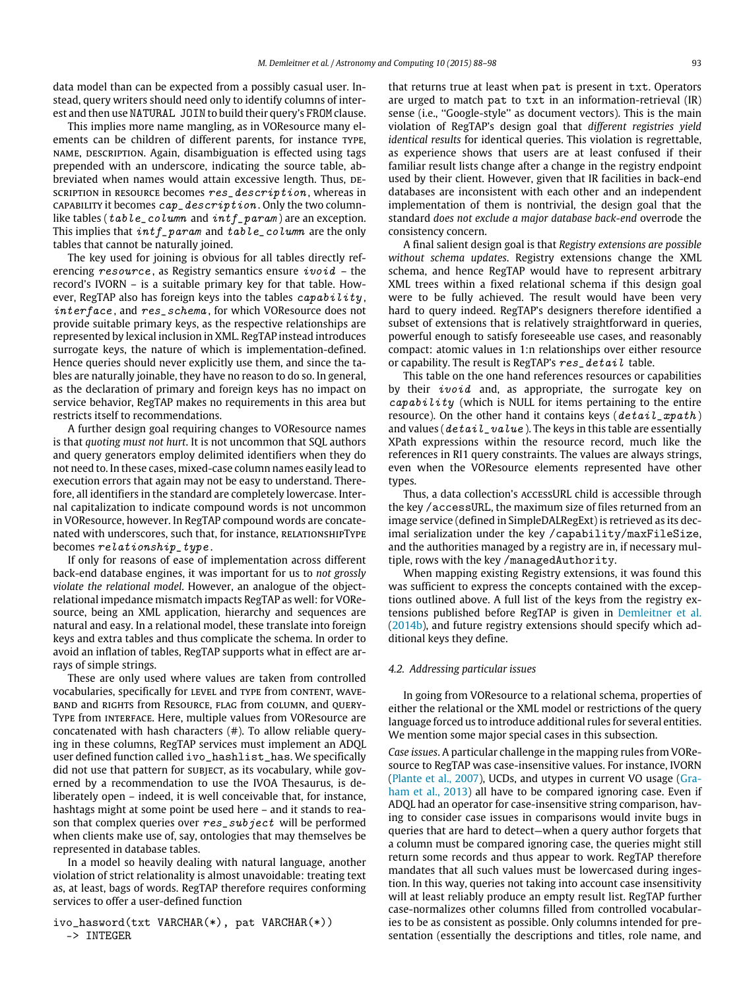data model than can be expected from a possibly casual user. Instead, query writers should need only to identify columns of interest and then use NATURAL JOIN to build their query's FROM clause.

This implies more name mangling, as in VOResource many elements can be children of different parents, for instance TYPE, name, DESCRIPTION. Again, disambiguation is effected using tags prepended with an underscore, indicating the source table, abbreviated when names would attain excessive length. Thus, DEscription in resource becomes *res\_description* , whereas in capability it becomes *cap\_description* . Only the two columnlike tables (*table\_column* and *intf\_param* ) are an exception. This implies that *intf\_param* and *table\_column* are the only tables that cannot be naturally joined.

The key used for joining is obvious for all tables directly referencing *resource* , as Registry semantics ensure *ivoid* – the record's IVORN – is a suitable primary key for that table. However, RegTAP also has foreign keys into the tables *capability* , *interface* , and *res\_schema* , for which VOResource does not provide suitable primary keys, as the respective relationships are represented by lexical inclusion in XML. RegTAP instead introduces surrogate keys, the nature of which is implementation-defined. Hence queries should never explicitly use them, and since the tables are naturally joinable, they have no reason to do so. In general, as the declaration of primary and foreign keys has no impact on service behavior, RegTAP makes no requirements in this area but restricts itself to recommendations.

A further design goal requiring changes to VOResource names is that *quoting must not hurt*. It is not uncommon that SQL authors and query generators employ delimited identifiers when they do not need to. In these cases, mixed-case column names easily lead to execution errors that again may not be easy to understand. Therefore, all identifiers in the standard are completely lowercase. Internal capitalization to indicate compound words is not uncommon in VOResource, however. In RegTAP compound words are concatenated with underscores, such that, for instance, RELATIONSHIPTYPE becomes *relationship\_type* .

If only for reasons of ease of implementation across different back-end database engines, it was important for us to *not grossly violate the relational model*. However, an analogue of the objectrelational impedance mismatch impacts RegTAP as well: for VOResource, being an XML application, hierarchy and sequences are natural and easy. In a relational model, these translate into foreign keys and extra tables and thus complicate the schema. In order to avoid an inflation of tables, RegTAP supports what in effect are arrays of simple strings.

These are only used where values are taken from controlled vocabularies, specifically for level and type from content, waveband and rights from Resource, flag from column, and query-Type from interface. Here, multiple values from VOResource are concatenated with hash characters (#). To allow reliable querying in these columns, RegTAP services must implement an ADQL user defined function called ivo\_hashlist\_has. We specifically did not use that pattern for subject, as its vocabulary, while governed by a recommendation to use the IVOA Thesaurus, is deliberately open – indeed, it is well conceivable that, for instance, hashtags might at some point be used here – and it stands to reason that complex queries over *res\_subject* will be performed when clients make use of, say, ontologies that may themselves be represented in database tables.

In a model so heavily dealing with natural language, another violation of strict relationality is almost unavoidable: treating text as, at least, bags of words. RegTAP therefore requires conforming services to offer a user-defined function

ivo\_hasword(txt VARCHAR(\*), pat VARCHAR(\*)) -> INTEGER

that returns true at least when pat is present in txt. Operators are urged to match pat to txt in an information-retrieval (IR) sense (i.e., "Google-style" as document vectors). This is the main violation of RegTAP's design goal that *different registries yield identical results* for identical queries. This violation is regrettable, as experience shows that users are at least confused if their familiar result lists change after a change in the registry endpoint used by their client. However, given that IR facilities in back-end databases are inconsistent with each other and an independent implementation of them is nontrivial, the design goal that the standard *does not exclude a major database back-end* overrode the consistency concern.

A final salient design goal is that *Registry extensions are possible without schema updates*. Registry extensions change the XML schema, and hence RegTAP would have to represent arbitrary XML trees within a fixed relational schema if this design goal were to be fully achieved. The result would have been very hard to query indeed. RegTAP's designers therefore identified a subset of extensions that is relatively straightforward in queries, powerful enough to satisfy foreseeable use cases, and reasonably compact: atomic values in 1:n relationships over either resource or capability. The result is RegTAP's *res\_detail* table.

This table on the one hand references resources or capabilities by their *ivoid* and, as appropriate, the surrogate key on *capability* (which is NULL for items pertaining to the entire resource). On the other hand it contains keys (*detail\_xpath* ) and values (*detail\_value* ). The keys in this table are essentially XPath expressions within the resource record, much like the references in RI1 query constraints. The values are always strings, even when the VOResource elements represented have other types.

Thus, a data collection's accessURL child is accessible through the key /accessURL, the maximum size of files returned from an image service (defined in SimpleDALRegExt) is retrieved as its decimal serialization under the key /capability/maxFileSize, and the authorities managed by a registry are in, if necessary multiple, rows with the key /managedAuthority.

When mapping existing Registry extensions, it was found this was sufficient to express the concepts contained with the exceptions outlined above. A full list of the keys from the registry extensions published before RegTAP is given in [Demleitner](#page-9-18) [et al.](#page-9-18) [\(2014b\)](#page-9-18), and future registry extensions should specify which additional keys they define.

#### *4.2. Addressing particular issues*

In going from VOResource to a relational schema, properties of either the relational or the XML model or restrictions of the query language forced us to introduce additional rules for several entities. We mention some major special cases in this subsection.

*Case issues*. A particular challenge in the mapping rules from VOResource to RegTAP was case-insensitive values. For instance, IVORN [\(Plante](#page-10-10) [et al.,](#page-10-10) [2007\)](#page-10-10), UCDs, and utypes in current VO usage [\(Gra](#page-9-19)[ham](#page-9-19) [et al.,](#page-9-19) [2013\)](#page-9-19) all have to be compared ignoring case. Even if ADQL had an operator for case-insensitive string comparison, having to consider case issues in comparisons would invite bugs in queries that are hard to detect—when a query author forgets that a column must be compared ignoring case, the queries might still return some records and thus appear to work. RegTAP therefore mandates that all such values must be lowercased during ingestion. In this way, queries not taking into account case insensitivity will at least reliably produce an empty result list. RegTAP further case-normalizes other columns filled from controlled vocabularies to be as consistent as possible. Only columns intended for presentation (essentially the descriptions and titles, role name, and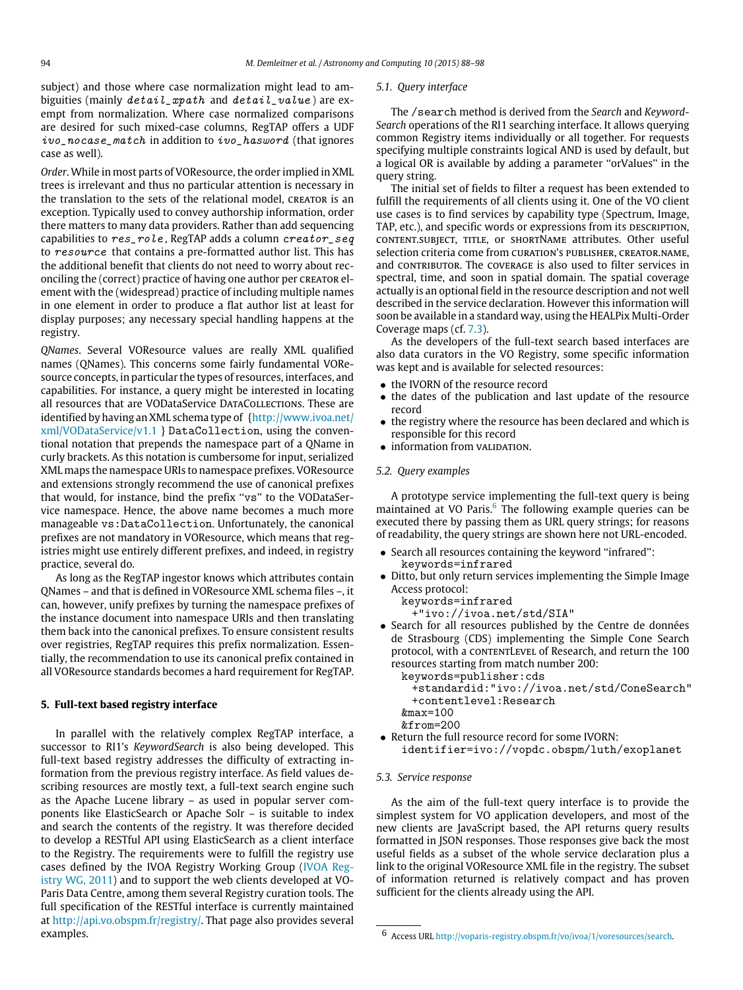subject) and those where case normalization might lead to ambiguities (mainly *detail\_xpath* and *detail\_value* ) are exempt from normalization. Where case normalized comparisons are desired for such mixed-case columns, RegTAP offers a UDF *ivo\_nocase\_match* in addition to *ivo\_hasword* (that ignores case as well).

*Order*. While in most parts of VOResource, the order implied in XML trees is irrelevant and thus no particular attention is necessary in the translation to the sets of the relational model, CREATOR is an exception. Typically used to convey authorship information, order there matters to many data providers. Rather than add sequencing capabilities to *res\_role* , RegTAP adds a column *creator\_seq* to *resource* that contains a pre-formatted author list. This has the additional benefit that clients do not need to worry about reconciling the (correct) practice of having one author per CREATOR element with the (widespread) practice of including multiple names in one element in order to produce a flat author list at least for display purposes; any necessary special handling happens at the registry.

*QNames*. Several VOResource values are really XML qualified names (QNames). This concerns some fairly fundamental VOResource concepts, in particular the types of resources, interfaces, and capabilities. For instance, a query might be interested in locating all resources that are VODataService DATACOLLECTIONS. These are identified by having an XML schema type of [{http://www.ivoa.net/](http://www.ivoa.net/xml/VODataService/v1.1) [xml/VODataService/v1.1](http://www.ivoa.net/xml/VODataService/v1.1) } DataCollection, using the conventional notation that prepends the namespace part of a QName in curly brackets. As this notation is cumbersome for input, serialized XML maps the namespace URIs to namespace prefixes. VOResource and extensions strongly recommend the use of canonical prefixes that would, for instance, bind the prefix "vs" to the VODataService namespace. Hence, the above name becomes a much more manageable vs:DataCollection. Unfortunately, the canonical prefixes are not mandatory in VOResource, which means that registries might use entirely different prefixes, and indeed, in registry practice, several do.

As long as the RegTAP ingestor knows which attributes contain QNames – and that is defined in VOResource XML schema files –, it can, however, unify prefixes by turning the namespace prefixes of the instance document into namespace URIs and then translating them back into the canonical prefixes. To ensure consistent results over registries, RegTAP requires this prefix normalization. Essentially, the recommendation to use its canonical prefix contained in all VOResource standards becomes a hard requirement for RegTAP.

#### <span id="page-6-0"></span>**5. Full-text based registry interface**

In parallel with the relatively complex RegTAP interface, a successor to RI1's *KeywordSearch* is also being developed. This full-text based registry addresses the difficulty of extracting information from the previous registry interface. As field values describing resources are mostly text, a full-text search engine such as the Apache Lucene library – as used in popular server components like ElasticSearch or Apache Solr – is suitable to index and search the contents of the registry. It was therefore decided to develop a RESTful API using ElasticSearch as a client interface to the Registry. The requirements were to fulfill the registry use [c](#page-9-1)ases defined by the IVOA Registry Working Group [\(IVOA](#page-9-1) [Reg](#page-9-1)[istry](#page-9-1) [WG,](#page-9-1) [2011\)](#page-9-1) and to support the web clients developed at VO-Paris Data Centre, among them several Registry curation tools. The full specification of the RESTful interface is currently maintained at [http://api.vo.obspm.fr/registry/.](http://api.vo.obspm.fr/registry/) That page also provides several examples.

#### *5.1. Query interface*

The /search method is derived from the *Search* and *Keyword-Search* operations of the RI1 searching interface. It allows querying common Registry items individually or all together. For requests specifying multiple constraints logical AND is used by default, but a logical OR is available by adding a parameter ''orValues'' in the query string.

The initial set of fields to filter a request has been extended to fulfill the requirements of all clients using it. One of the VO client use cases is to find services by capability type (Spectrum, Image, TAP, etc.), and specific words or expressions from its DESCRIPTION, content.subject, title, or shortName attributes. Other useful selection criteria come from curation's publisher, CREATOR.NAME, and CONTRIBUTOR. The COVERAGE is also used to filter services in spectral, time, and soon in spatial domain. The spatial coverage actually is an optional field in the resource description and not well described in the service declaration. However this information will soon be available in a standard way, using the HEALPix Multi-Order Coverage maps (cf. [7.3\)](#page-8-2).

As the developers of the full-text search based interfaces are also data curators in the VO Registry, some specific information was kept and is available for selected resources:

- the IVORN of the resource record
- the dates of the publication and last update of the resource record
- the registry where the resource has been declared and which is responsible for this record
- information from validation.

## *5.2. Query examples*

A prototype service implementing the full-text query is being maintained at VO Paris.<sup>[6](#page-6-1)</sup> The following example queries can be executed there by passing them as URL query strings; for reasons of readability, the query strings are shown here not URL-encoded.

- Search all resources containing the keyword ''infrared'': keywords=infrared
- Ditto, but only return services implementing the Simple Image Access protocol:
	- keywords=infrared

+"ivo://ivoa.net/std/SIA"

- Search for all resources published by the Centre de données de Strasbourg (CDS) implementing the Simple Cone Search protocol, with a contentLevel of Research, and return the 100 resources starting from match number 200:
	- keywords=publisher:cds

+standardid:"ivo://ivoa.net/std/ConeSearch" +contentlevel:Research

```
&max=100
```
- &from=200
- Return the full resource record for some IVORN: identifier=ivo://vopdc.obspm/luth/exoplanet

### *5.3. Service response*

As the aim of the full-text query interface is to provide the simplest system for VO application developers, and most of the new clients are JavaScript based, the API returns query results formatted in JSON responses. Those responses give back the most useful fields as a subset of the whole service declaration plus a link to the original VOResource XML file in the registry. The subset of information returned is relatively compact and has proven sufficient for the clients already using the API.

<span id="page-6-1"></span><sup>6</sup> Access URL [http://voparis-registry.obspm.fr/vo/ivoa/1/voresources/search.](http://voparis-registry.obspm.fr/vo/ivoa/1/voresources/search)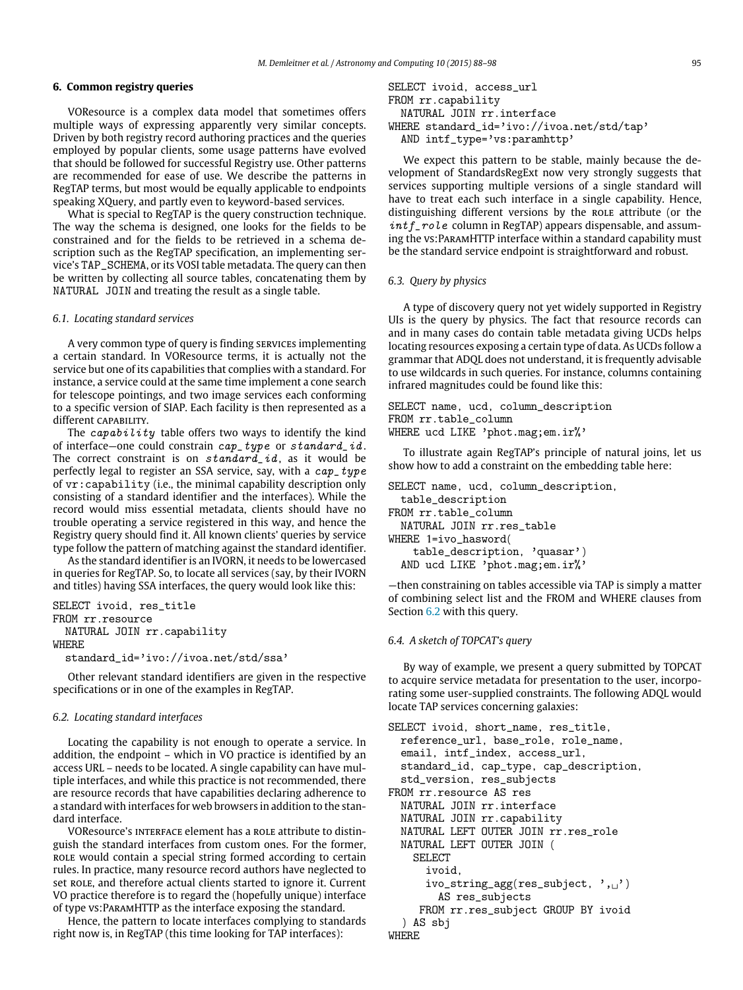## <span id="page-7-0"></span>**6. Common registry queries**

VOResource is a complex data model that sometimes offers multiple ways of expressing apparently very similar concepts. Driven by both registry record authoring practices and the queries employed by popular clients, some usage patterns have evolved that should be followed for successful Registry use. Other patterns are recommended for ease of use. We describe the patterns in RegTAP terms, but most would be equally applicable to endpoints speaking XQuery, and partly even to keyword-based services.

What is special to RegTAP is the query construction technique. The way the schema is designed, one looks for the fields to be constrained and for the fields to be retrieved in a schema description such as the RegTAP specification, an implementing service's TAP\_SCHEMA, or its VOSI table metadata. The query can then be written by collecting all source tables, concatenating them by NATURAL JOIN and treating the result as a single table.

#### <span id="page-7-2"></span>*6.1. Locating standard services*

A very common type of query is finding services implementing a certain standard. In VOResource terms, it is actually not the service but one of its capabilities that complies with a standard. For instance, a service could at the same time implement a cone search for telescope pointings, and two image services each conforming to a specific version of SIAP. Each facility is then represented as a different CAPABILITY.

The *capability* table offers two ways to identify the kind of interface—one could constrain *cap\_type* or *standard\_id* . The correct constraint is on *standard\_id* , as it would be perfectly legal to register an SSA service, say, with a *cap\_type* of vr:capability (i.e., the minimal capability description only consisting of a standard identifier and the interfaces). While the record would miss essential metadata, clients should have no trouble operating a service registered in this way, and hence the Registry query should find it. All known clients' queries by service type follow the pattern of matching against the standard identifier.

As the standard identifier is an IVORN, it needs to be lowercased in queries for RegTAP. So, to locate all services (say, by their IVORN and titles) having SSA interfaces, the query would look like this:

```
SELECT ivoid, res_title
FROM rr .resource
  NATURAL JOIN rr .capability
WHERE
```
standard\_id='ivo://ivoa.net/std/ssa'

Other relevant standard identifiers are given in the respective specifications or in one of the examples in RegTAP.

#### <span id="page-7-1"></span>*6.2. Locating standard interfaces*

Locating the capability is not enough to operate a service. In addition, the endpoint – which in VO practice is identified by an access URL – needs to be located. A single capability can have multiple interfaces, and while this practice is not recommended, there are resource records that have capabilities declaring adherence to a standard with interfaces for web browsers in addition to the standard interface.

VOResource's interface element has a role attribute to distinguish the standard interfaces from custom ones. For the former, role would contain a special string formed according to certain rules. In practice, many resource record authors have neglected to set ROLE, and therefore actual clients started to ignore it. Current VO practice therefore is to regard the (hopefully unique) interface of type vs:ParamHTTP as the interface exposing the standard.

Hence, the pattern to locate interfaces complying to standards right now is, in RegTAP (this time looking for TAP interfaces):

```
SELECT ivoid, access_url
FROM rr .capability
  NATURAL JOIN rr .interface
WHERE standard_id='ivo://ivoa.net/std/tap'
  AND intf_type='vs:paramhttp'
```
We expect this pattern to be stable, mainly because the development of StandardsRegExt now very strongly suggests that services supporting multiple versions of a single standard will have to treat each such interface in a single capability. Hence, distinguishing different versions by the ROLE attribute (or the *intf\_role* column in RegTAP) appears dispensable, and assuming the vs:ParamHTTP interface within a standard capability must be the standard service endpoint is straightforward and robust.

## *6.3. Query by physics*

A type of discovery query not yet widely supported in Registry UIs is the query by physics. The fact that resource records can and in many cases do contain table metadata giving UCDs helps locating resources exposing a certain type of data. As UCDs follow a grammar that ADQL does not understand, it is frequently advisable to use wildcards in such queries. For instance, columns containing infrared magnitudes could be found like this:

```
SELECT name, ucd, column_description
FROM rr .table_column
WHERE ucd LIKE 'phot.mag;em.ir%'
```
To illustrate again RegTAP's principle of natural joins, let us show how to add a constraint on the embedding table here:

```
SELECT name, ucd, column_description,
  table_description
FROM rr .table_column
  NATURAL JOIN rr .res_table
WHERE 1=ivo_hasword(
    table_description, 'quasar')
  AND ucd LIKE 'phot.mag;em.ir%'
```
—then constraining on tables accessible via TAP is simply a matter of combining select list and the FROM and WHERE clauses from Section [6.2](#page-7-1) with this query.

#### *6.4. A sketch of TOPCAT's query*

By way of example, we present a query submitted by TOPCAT to acquire service metadata for presentation to the user, incorporating some user-supplied constraints. The following ADQL would locate TAP services concerning galaxies:

```
SELECT ivoid, short_name, res_title,
 reference_url, base_role, role_name,
  email, intf_index, access_url,
  standard_id, cap_type, cap_description,
  std_version, res_subjects
FROM rr .resource AS res
  NATURAL JOIN rr .interface
  NATURAL JOIN rr .capability
  NATURAL LEFT OUTER JOIN rr .res_role
  NATURAL LEFT OUTER JOIN (
    SELECT
      ivoid,
      ivo_string_agg(res_subject, ',_1')
        AS res_subjects
     FROM rr .res_subject GROUP BY ivoid
  ) AS sbj
WHERE
```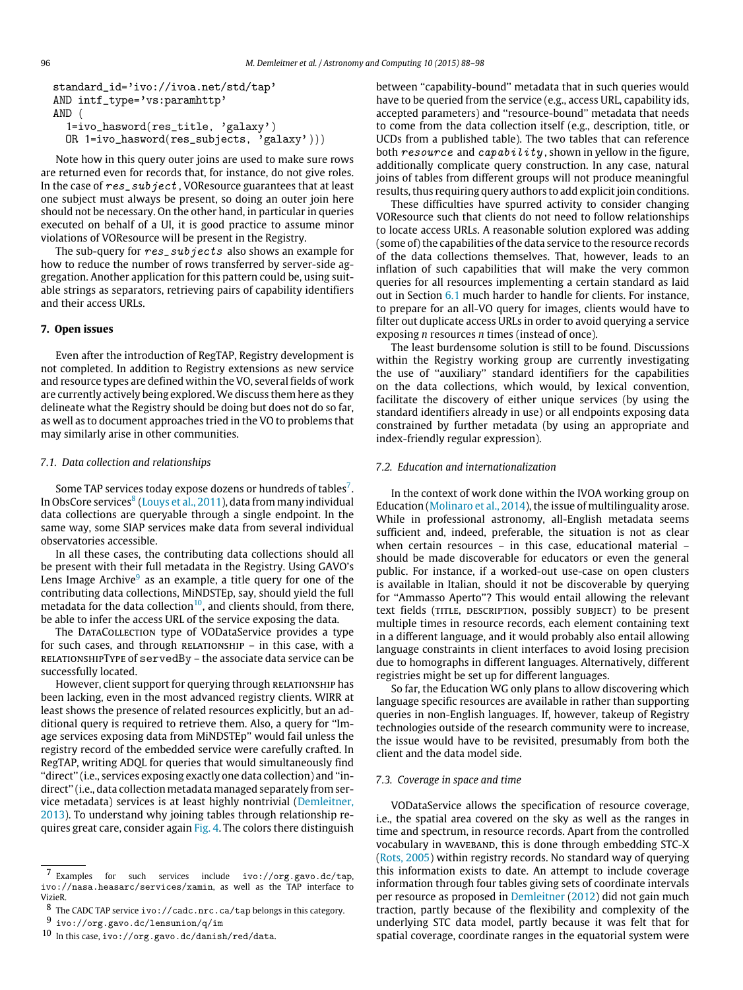```
standard_id='ivo://ivoa.net/std/tap'
AND intf_type='vs:paramhttp'
AND (
  1=ivo_hasword(res_title, 'galaxy')
  OR 1=ivo_hasword(res_subjects, 'galaxy' ) ) )
```
Note how in this query outer joins are used to make sure rows are returned even for records that, for instance, do not give roles. In the case of *res\_subject* , VOResource guarantees that at least one subject must always be present, so doing an outer join here should not be necessary. On the other hand, in particular in queries executed on behalf of a UI, it is good practice to assume minor violations of VOResource will be present in the Registry.

The sub-query for *res\_subjects* also shows an example for how to reduce the number of rows transferred by server-side aggregation. Another application for this pattern could be, using suitable strings as separators, retrieving pairs of capability identifiers and their access URLs.

## <span id="page-8-0"></span>**7. Open issues**

Even after the introduction of RegTAP, Registry development is not completed. In addition to Registry extensions as new service and resource types are defined within the VO, several fields of work are currently actively being explored. We discuss them here as they delineate what the Registry should be doing but does not do so far, as well as to document approaches tried in the VO to problems that may similarly arise in other communities.

## <span id="page-8-1"></span>*7.1. Data collection and relationships*

Some TAP services today expose dozens or hundreds of tables<sup>[7](#page-8-3)</sup>. In ObsCore services $^8$  $^8$  [\(Louys](#page-9-7) [et al.,](#page-9-7) [2011\)](#page-9-7), data from many individual data collections are queryable through a single endpoint. In the same way, some SIAP services make data from several individual observatories accessible.

In all these cases, the contributing data collections should all be present with their full metadata in the Registry. Using GAVO's Lens Image Archive<sup>[9](#page-8-5)</sup> as an example, a title query for one of the contributing data collections, MiNDSTEp, say, should yield the full metadata for the data collection $10$ , and clients should, from there, be able to infer the access URL of the service exposing the data.

The DATACOLLECTION type of VODataService provides a type for such cases, and through RELATIONSHIP – in this case, with a relationshipType of servedBy – the associate data service can be successfully located.

However, client support for querying through RELATIONSHIP has been lacking, even in the most advanced registry clients. WIRR at least shows the presence of related resources explicitly, but an additional query is required to retrieve them. Also, a query for ''Image services exposing data from MiNDSTEp'' would fail unless the registry record of the embedded service were carefully crafted. In RegTAP, writing ADQL for queries that would simultaneously find ''direct'' (i.e., services exposing exactly one data collection) and ''indirect'' (i.e., data collection metadata managed separately from service metadata) services is at least highly nontrivial [\(Demleitner,](#page-9-20) [2013\)](#page-9-20). To understand why joining tables through relationship requires great care, consider again [Fig. 4.](#page-4-0) The colors there distinguish between "capability-bound" metadata that in such queries would have to be queried from the service (e.g., access URL, capability ids, accepted parameters) and ''resource-bound'' metadata that needs to come from the data collection itself (e.g., description, title, or UCDs from a published table). The two tables that can reference both *resource* and *capability* , shown in yellow in the figure, additionally complicate query construction. In any case, natural joins of tables from different groups will not produce meaningful results, thus requiring query authors to add explicit join conditions.

These difficulties have spurred activity to consider changing VOResource such that clients do not need to follow relationships to locate access URLs. A reasonable solution explored was adding (some of) the capabilities of the data service to the resource records of the data collections themselves. That, however, leads to an inflation of such capabilities that will make the very common queries for all resources implementing a certain standard as laid out in Section [6.1](#page-7-2) much harder to handle for clients. For instance, to prepare for an all-VO query for images, clients would have to filter out duplicate access URLs in order to avoid querying a service exposing *n* resources *n* times (instead of once).

The least burdensome solution is still to be found. Discussions within the Registry working group are currently investigating the use of ''auxiliary'' standard identifiers for the capabilities on the data collections, which would, by lexical convention, facilitate the discovery of either unique services (by using the standard identifiers already in use) or all endpoints exposing data constrained by further metadata (by using an appropriate and index-friendly regular expression).

#### *7.2. Education and internationalization*

In the context of work done within the IVOA working group on Education [\(Molinaro](#page-9-21) [et al.,](#page-9-21) [2014\)](#page-9-21), the issue of multilinguality arose. While in professional astronomy, all-English metadata seems sufficient and, indeed, preferable, the situation is not as clear when certain resources – in this case, educational material – should be made discoverable for educators or even the general public. For instance, if a worked-out use-case on open clusters is available in Italian, should it not be discoverable by querying for ''Ammasso Aperto''? This would entail allowing the relevant text fields (TITLE, DESCRIPTION, possibly SUBJECT) to be present multiple times in resource records, each element containing text in a different language, and it would probably also entail allowing language constraints in client interfaces to avoid losing precision due to homographs in different languages. Alternatively, different registries might be set up for different languages.

So far, the Education WG only plans to allow discovering which language specific resources are available in rather than supporting queries in non-English languages. If, however, takeup of Registry technologies outside of the research community were to increase, the issue would have to be revisited, presumably from both the client and the data model side.

#### <span id="page-8-2"></span>*7.3. Coverage in space and time*

VODataService allows the specification of resource coverage, i.e., the spatial area covered on the sky as well as the ranges in time and spectrum, in resource records. Apart from the controlled vocabulary in WAVEBAND, this is done through embedding STC-X [\(Rots,](#page-10-11) [2005\)](#page-10-11) within registry records. No standard way of querying this information exists to date. An attempt to include coverage information through four tables giving sets of coordinate intervals per resource as proposed in [Demleitner](#page-9-22) [\(2012\)](#page-9-22) did not gain much traction, partly because of the flexibility and complexity of the underlying STC data model, partly because it was felt that for spatial coverage, coordinate ranges in the equatorial system were

<span id="page-8-3"></span><sup>7</sup> Examples for such services include ivo://org.gavo.dc/tap, ivo://nasa.heasarc/services/xamin, as well as the TAP interface to VizieR.

<span id="page-8-4"></span><sup>8</sup> The CADC TAP service ivo://cadc.nrc.ca/tap belongs in this category.

<span id="page-8-5"></span><sup>9</sup> ivo://org.gavo.dc/lensunion/q/im

<span id="page-8-6"></span><sup>10</sup> In this case, ivo://org.gavo.dc/danish/red/data.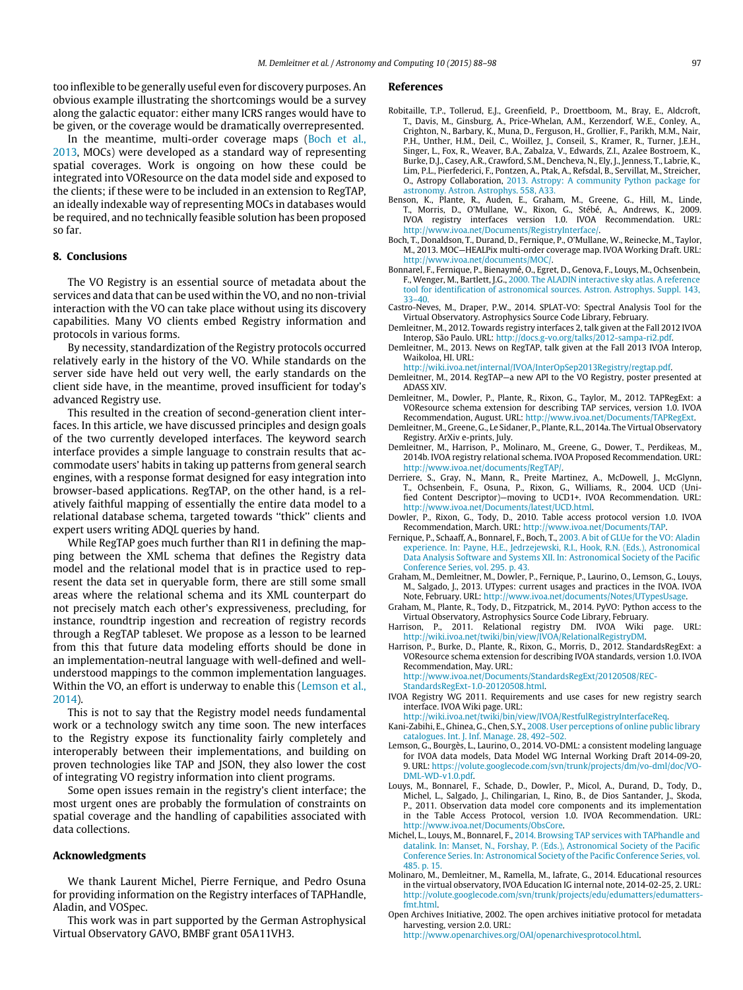too inflexible to be generally useful even for discovery purposes. An obvious example illustrating the shortcomings would be a survey along the galactic equator: either many ICRS ranges would have to be given, or the coverage would be dramatically overrepresented.

In the meantime, multi-order coverage maps [\(Boch](#page-9-23) [et al.,](#page-9-23) [2013,](#page-9-23) MOCs) were developed as a standard way of representing spatial coverages. Work is ongoing on how these could be integrated into VOResource on the data model side and exposed to the clients; if these were to be included in an extension to RegTAP, an ideally indexable way of representing MOCs in databases would be required, and no technically feasible solution has been proposed so far.

### **8. Conclusions**

The VO Registry is an essential source of metadata about the services and data that can be used within the VO, and no non-trivial interaction with the VO can take place without using its discovery capabilities. Many VO clients embed Registry information and protocols in various forms.

By necessity, standardization of the Registry protocols occurred relatively early in the history of the VO. While standards on the server side have held out very well, the early standards on the client side have, in the meantime, proved insufficient for today's advanced Registry use.

This resulted in the creation of second-generation client interfaces. In this article, we have discussed principles and design goals of the two currently developed interfaces. The keyword search interface provides a simple language to constrain results that accommodate users' habits in taking up patterns from general search engines, with a response format designed for easy integration into browser-based applications. RegTAP, on the other hand, is a relatively faithful mapping of essentially the entire data model to a relational database schema, targeted towards ''thick'' clients and expert users writing ADQL queries by hand.

While RegTAP goes much further than RI1 in defining the mapping between the XML schema that defines the Registry data model and the relational model that is in practice used to represent the data set in queryable form, there are still some small areas where the relational schema and its XML counterpart do not precisely match each other's expressiveness, precluding, for instance, roundtrip ingestion and recreation of registry records through a RegTAP tableset. We propose as a lesson to be learned from this that future data modeling efforts should be done in an implementation-neutral language with well-defined and wellunderstood mappings to the common implementation languages. Within the VO, an effort is underway to enable this [\(Lemson](#page-9-24) [et al.,](#page-9-24)  $2014$ 

This is not to say that the Registry model needs fundamental work or a technology switch any time soon. The new interfaces to the Registry expose its functionality fairly completely and interoperably between their implementations, and building on proven technologies like TAP and JSON, they also lower the cost of integrating VO registry information into client programs.

Some open issues remain in the registry's client interface; the most urgent ones are probably the formulation of constraints on spatial coverage and the handling of capabilities associated with data collections.

## **Acknowledgments**

We thank Laurent Michel, Pierre Fernique, and Pedro Osuna for providing information on the Registry interfaces of TAPHandle, Aladin, and VOSpec.

This work was in part supported by the German Astrophysical Virtual Observatory GAVO, BMBF grant 05A11VH3.

#### **References**

- <span id="page-9-12"></span>Robitai[lle, T.P., Tollerud, E.J., Greenfield, P., Droettboom, M., Bray, E., Aldcroft,](http://refhub.elsevier.com/S2213-1337(15)00009-8/sbref1) T., Davis, M., Ginsburg, A., Price-Whelan, A.M., Kerzendorf, W.E., Conley, A., Crighton, N., Barbary, K., Muna, D., Ferguson, H., Grollier, F., Parikh, M.M., Nair, P.H., Unther, H.M., Deil, C., Woillez, J., Conseil, S., Kramer, R., Turner, J.E.H., Singer, L., Fox, R., Weaver, B.A., Zabalza, V., Edwards, Z.I., Azalee Bostroem, K., Burke, D.J., Casey, A.R., Crawford, S.M., Dencheva, N., Ely, J., Jenness, T., Labrie, K., Lim, P.L., Pierfederici, F., Pontzen, A., Ptak, A., Refsdal, B., Servillat, M., Streicher, O., Astropy Collaboration, 2013. Astropy: A community Python package for astronomy. Astron. Astrophys. 558, A33.
- <span id="page-9-5"></span>Benson, K., Plante, R., Auden, E., Graham, M., Greene, G., Hill, M., Linde, T., Morris, D., O'Mullane, W., Rixon, G., Stébé, A., Andrews, K., 2009. IVOA registry interfaces version 1.0. IVOA Recommendation. URL: [http://www.ivoa.net/Documents/RegistryInterface/.](http://www.ivoa.net/Documents/RegistryInterface/)
- <span id="page-9-23"></span>Boch, T., Donaldson, T., Durand, D., Fernique, P., O'Mullane, W., Reinecke, M., Taylor, M., 2013. MOC—HEALPix multi-order coverage map. IVOA Working Draft. URL: [http://www.ivoa.net/documents/MOC/.](http://www.ivoa.net/documents/MOC/)
- <span id="page-9-10"></span>Bonnar[el, F., Fernique, P., Bienaymé, O., Egret, D., Genova, F., Louys, M., Ochsenbein,](http://refhub.elsevier.com/S2213-1337(15)00009-8/sbref4) F., Wenger, M., Bartlett, J.G., 2000. The ALADIN interactive sky atlas. A reference tool for identification of astronomical sources. Astron. Astrophys. Suppl. 143,
- <span id="page-9-9"></span>33–40. Castro-Neves, M., Draper, P.W., 2014. SPLAT-VO: Spectral Analysis Tool for the Virtual Observatory. Astrophysics Source Code Library, February.
- <span id="page-9-22"></span>Demleitner, M., 2012. Towards registry interfaces 2, talk given at the Fall 2012 IVOA Interop, São Paulo. URL: [http://docs.g-vo.org/talks/2012-sampa-ri2.pdf.](http://docs.g-vo.org/talks/2012-sampa-ri2.pdf)
- <span id="page-9-20"></span>Demleitner, M., 2013. News on RegTAP, talk given at the Fall 2013 IVOA Interop, Waikoloa, HI. URL:
	- http://wiki.jvoa.net/internal/IVOA/InterOpSep2013Registry/regtap.pdf.
- <span id="page-9-14"></span>Demleitner, M., 2014. RegTAP—a new API to the VO Registry, poster presented at ADASS XIV.
- <span id="page-9-16"></span>Demleitner, M., Dowler, P., Plante, R., Rixon, G., Taylor, M., 2012. TAPRegExt: a VOResource schema extension for describing TAP services, version 1.0. IVOA Recommendation, August. URL: [http://www.ivoa.net/Documents/TAPRegExt.](http://www.ivoa.net/Documents/TAPRegExt)
- <span id="page-9-0"></span>Demleitner, M., Greene, G., Le Sidaner, P., Plante, R.L., 2014a. The Virtual Observatory Registry. ArXiv e-prints, July.
- <span id="page-9-18"></span>Demleitner, M., Harrison, P., Molinaro, M., Greene, G., Dower, T., Perdikeas, M., 2014b. IVOA registry relational schema. IVOA Proposed Recommendation. URL: [http://www.ivoa.net/documents/RegTAP/.](http://www.ivoa.net/documents/RegTAP/)
- <span id="page-9-4"></span>Derriere, S., Gray, N., Mann, R., Preite Martinez, A., McDowell, J., McGlynn, T., Ochsenbein, F., Osuna, P., Rixon, G., Williams, R., 2004. UCD (Unified Content Descriptor)—moving to UCD1+. IVOA Recommendation. URL: [http://www.ivoa.net/Documents/latest/UCD.html.](http://www.ivoa.net/Documents/latest/UCD.html)
- <span id="page-9-6"></span>Dowler, P., Rixon, G., Tody, D., 2010. Table access protocol version 1.0. IVOA Recommendation, March. URL: [http://www.ivoa.net/Documents/TAP.](http://www.ivoa.net/Documents/TAP)
- <span id="page-9-11"></span>Fernique, P., Schaaff, A., Bonnarel, F., Boch, T., 2003. A bit of GLUe for the VO: Aladin ex[perience. In: Payne, H.E., Jedrzejewski, R.I., Hook, R.N. \(Eds.\), Astronomical](http://refhub.elsevier.com/S2213-1337(15)00009-8/sbref14) Data Analysis Software and Systems XII. In: Astronomical Society of the Pacific Conference Series, vol. 295. p. 43.
- <span id="page-9-19"></span>Graham, M., Demleitner, M., Dowler, P., Fernique, P., Laurino, O., Lemson, G., Louys, M., Salgado, J., 2013. UTypes: current usages and practices in the IVOA. IVOA Note, February. URL: [http://www.ivoa.net/documents/Notes/UTypesUsage.](http://www.ivoa.net/documents/Notes/UTypesUsage)
- <span id="page-9-13"></span>Graham, M., Plante, R., Tody, D., Fitzpatrick, M., 2014. PyVO: Python access to the Virtual Observatory, Astrophysics Source Code Library, February.
- <span id="page-9-15"></span>Harrison, P., 2011. Relational registry DM. IVOA Wiki page. URL: [http://wiki.ivoa.net/twiki/bin/view/IVOA/RelationalRegistryDM.](http://wiki.ivoa.net/twiki/bin/view/IVOA/RelationalRegistryDM)

<span id="page-9-17"></span>Harrison, P., Burke, D., Plante, R., Rixon, G., Morris, D., 2012. StandardsRegExt: a VOResource schema extension for describing IVOA standards, version 1.0. IVOA Recommendation, May. URL: [http://www.ivoa.net/Documents/StandardsRegExt/20120508/REC-](http://www.ivoa.net/Documents/StandardsRegExt/20120508/REC-StandardsRegExt-1.0-20120508.html)

[StandardsRegExt-1.0-20120508.html.](http://www.ivoa.net/Documents/StandardsRegExt/20120508/REC-StandardsRegExt-1.0-20120508.html)

- <span id="page-9-1"></span>IVOA Registry WG 2011. Requirements and use cases for new registry search interface. IVOA Wiki page. URL:
	- [http://wiki.ivoa.net/twiki/bin/view/IVOA/RestfulRegistryInterfaceReq.](http://wiki.ivoa.net/twiki/bin/view/IVOA/RestfulRegistryInterfaceReq)
- <span id="page-9-3"></span>Kani-Zabihi, E., Ghinea, G., Chen, S.Y., [2008. User perceptions of online public library](http://refhub.elsevier.com/S2213-1337(15)00009-8/sbref20) catalogues. Int. J. Inf. Manage. 28, 492–502.
- <span id="page-9-24"></span>Lemson, G., Bourgès, L., Laurino, O., 2014. VO-DML: a consistent modeling language for IVOA data models, Data Model WG Internal Working Draft 2014-09-20, 9. URL: [https://volute.googlecode.com/svn/trunk/projects/dm/vo-dml/doc/VO-](https://volute.googlecode.com/svn/trunk/projects/dm/vo-dml/doc/VO-DML-WD-v1.0.pdf)[DML-WD-v1.0.pdf.](https://volute.googlecode.com/svn/trunk/projects/dm/vo-dml/doc/VO-DML-WD-v1.0.pdf)
- <span id="page-9-7"></span>Louys, M., Bonnarel, F., Schade, D., Dowler, P., Micol, A., Durand, D., Tody, D., Michel, L., Salgado, J., Chilingarian, I., Rino, B., de Dios Santander, J., Skoda, P., 2011. Observation data model core components and its implementation in the Table Access Protocol, version 1.0. IVOA Recommendation. URL: [http://www.ivoa.net/Documents/ObsCore.](http://www.ivoa.net/Documents/ObsCore)
- <span id="page-9-8"></span>Michel, L., Louys, M., Bonnarel, F., 2014. Browsing TAP services with TAPhandle and datalink. In: Manset, N., Forshay, P. (Eds.), Astronomical Society of the Pacific Co[nference Series. In: Astronomical Society of the Pacific Conference Series, vol.](http://refhub.elsevier.com/S2213-1337(15)00009-8/sbref23) 485. p. 15.
- <span id="page-9-21"></span>Molinaro, M., Demleitner, M., Ramella, M., Iafrate, G., 2014. Educational resources in the virtual observatory, IVOA Education IG internal note, 2014-02-25, 2. URL: [http://volute.googlecode.com/svn/trunk/projects/edu/edumatters/edumatters](http://volute.googlecode.com/svn/trunk/projects/edu/edumatters/edumatters-fmt.html)[fmt.html.](http://volute.googlecode.com/svn/trunk/projects/edu/edumatters/edumatters-fmt.html)
- <span id="page-9-2"></span>Open Archives Initiative, 2002. The open archives initiative protocol for metadata harvesting, version 2.0. URL:
	- [http://www.openarchives.org/OAI/openarchivesprotocol.html.](http://www.openarchives.org/OAI/openarchivesprotocol.html)